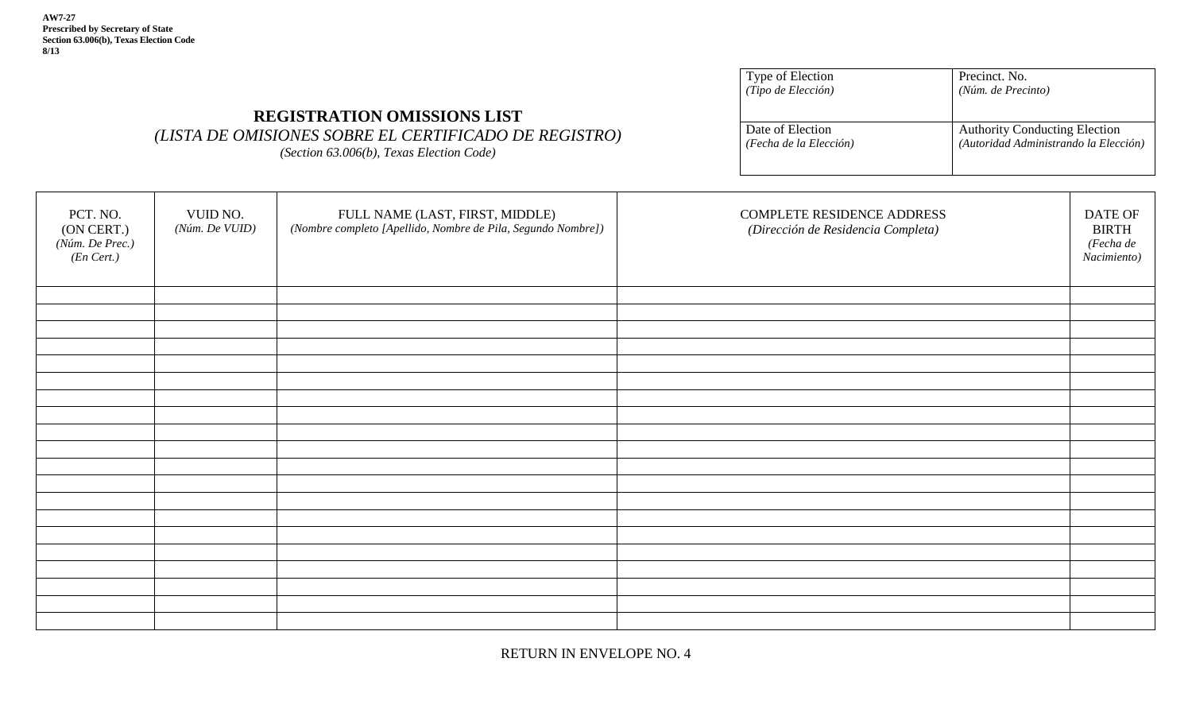**AW7-27 Prescribed by Secretary of State Section 63.006(b), Texas Election Code 8/13**

| Precinct. No.                         |
|---------------------------------------|
| (Núm. de Precinto)                    |
|                                       |
| <b>Authority Conducting Election</b>  |
| (Autoridad Administrando la Elección) |
|                                       |

## PCT. NO. (ON CERT.) *(Núm. De Prec.) (En Cert.)* VUID NO. *(Núm. De VUID)* FULL NAME (LAST, FIRST, MIDDLE) *(Nombre completo [Apellido, Nombre de Pila, Segundo Nombre])* COMPLETE RESIDENCE ADDRESS *(Dirección de Residencia Completa)*  DATE OF BIRTH *(Fecha de Nacimiento)*

**REGISTRATION OMISSIONS LIST** *(LISTA DE OMISIONES SOBRE EL CERTIFICADO DE REGISTRO) (Section 63.006(b), Texas Election Code)* 

RETURN IN ENVELOPE NO. 4